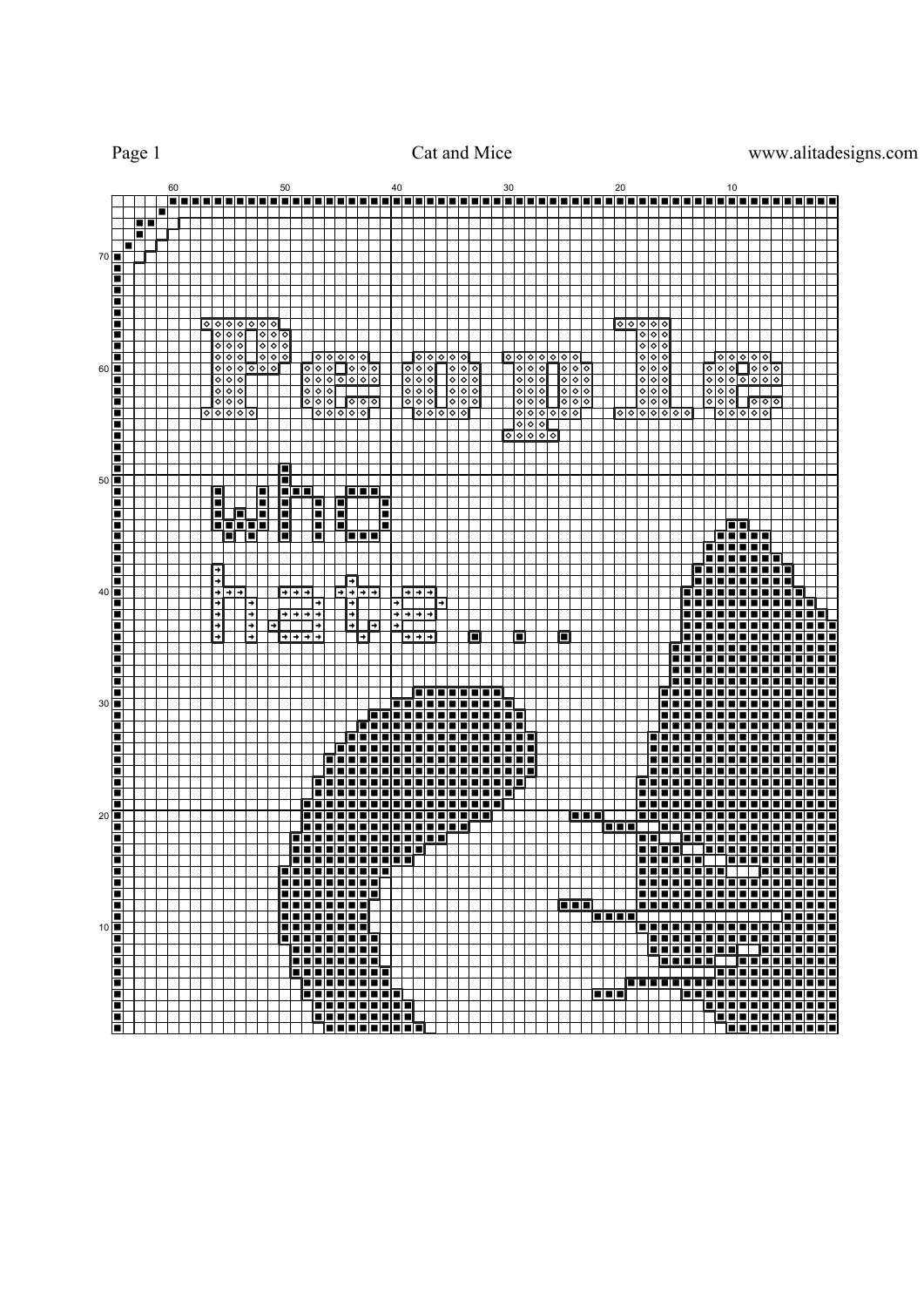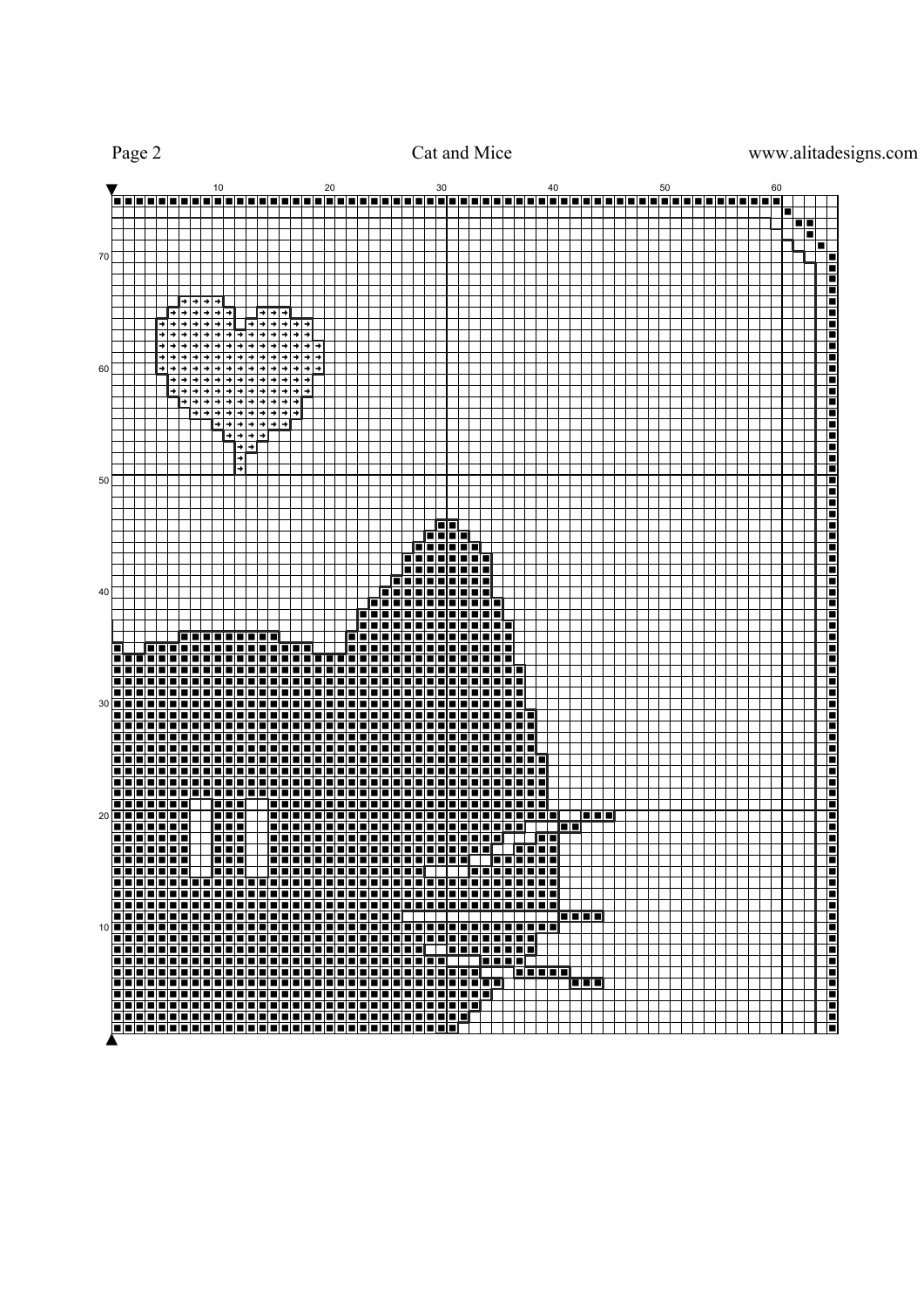Cat and Mice

|    |                                                                                                                     |   |               |        |    |            |               |        | 10                             |                                      |               |               |            |                                 |                          |                          | 20 |           |             |   |                                                        |     |     | 30         |    |                                           |     |  |           |                 | 40        |         |               |  |  | 50 |  |  |  |  | 60 |   |   |   |                     |
|----|---------------------------------------------------------------------------------------------------------------------|---|---------------|--------|----|------------|---------------|--------|--------------------------------|--------------------------------------|---------------|---------------|------------|---------------------------------|--------------------------|--------------------------|----|-----------|-------------|---|--------------------------------------------------------|-----|-----|------------|----|-------------------------------------------|-----|--|-----------|-----------------|-----------|---------|---------------|--|--|----|--|--|--|--|----|---|---|---|---------------------|
|    |                                                                                                                     |   |               |        |    |            |               |        |                                |                                      |               |               |            |                                 |                          |                          |    |           |             |   |                                                        |     |     |            |    |                                           |     |  |           |                 |           |         |               |  |  |    |  |  |  |  |    | ■ |   |   |                     |
|    |                                                                                                                     |   |               |        |    |            |               |        |                                |                                      |               |               |            |                                 |                          |                          |    |           |             |   |                                                        |     |     |            |    |                                           |     |  |           |                 |           |         |               |  |  |    |  |  |  |  |    |   | ш |   |                     |
|    |                                                                                                                     |   |               |        |    |            |               |        |                                |                                      |               |               |            |                                 |                          |                          |    |           |             |   |                                                        |     |     |            |    |                                           |     |  |           |                 |           |         |               |  |  |    |  |  |  |  |    |   | п |   |                     |
| 70 |                                                                                                                     |   |               |        |    |            |               |        |                                |                                      |               |               |            |                                 |                          |                          |    |           |             |   |                                                        |     |     |            |    |                                           |     |  |           |                 |           |         |               |  |  |    |  |  |  |  |    |   |   | ■ |                     |
|    |                                                                                                                     |   |               |        |    |            |               |        |                                |                                      |               |               |            |                                 |                          |                          |    |           |             |   |                                                        |     |     |            |    |                                           |     |  |           |                 |           |         |               |  |  |    |  |  |  |  |    |   |   |   |                     |
|    |                                                                                                                     |   |               |        |    |            |               |        |                                |                                      |               |               |            |                                 |                          |                          |    |           |             |   |                                                        |     |     |            |    |                                           |     |  |           |                 |           |         |               |  |  |    |  |  |  |  |    |   |   |   | п                   |
|    |                                                                                                                     |   |               |        |    | →          | $\rightarrow$ | →∣→    |                                |                                      |               |               |            |                                 |                          |                          |    |           |             |   |                                                        |     |     |            |    |                                           |     |  |           |                 |           |         |               |  |  |    |  |  |  |  |    |   |   |   | п                   |
|    |                                                                                                                     |   |               |        | →  | →          | →             | →      | l→l                            | $\rightarrow$                        |               |               | → →        | ٠                               |                          |                          |    |           |             |   |                                                        |     |     |            |    |                                           |     |  |           |                 |           |         |               |  |  |    |  |  |  |  |    |   |   |   | ∎                   |
|    |                                                                                                                     |   |               | →<br>→ | →  | →          | →             | ٠      | $\rightarrow$<br>$\rightarrow$ | Ð<br>$\rightarrow$                   | →             | →<br>→ → →    | ∣→∣→       |                                 | $\rightarrow$            | →∣→<br>→  →  →           |    |           |             |   |                                                        |     |     |            |    |                                           |     |  |           |                 |           |         |               |  |  |    |  |  |  |  |    |   |   |   | ■                   |
|    |                                                                                                                     |   |               | →      |    |            |               | →      | $\rightarrow$                  | $\rightarrow$                        | $\rightarrow$ | →∣→∣          |            | $\rightarrow$                   | $\rightarrow$            | → → →                    |    |           |             |   |                                                        |     |     |            |    |                                           |     |  |           |                 |           |         |               |  |  |    |  |  |  |  |    |   |   |   | п                   |
|    |                                                                                                                     |   |               | →      | ∣→ | →          | →             | →      | ∣→∣                            | $\rightarrow$                        | $\rightarrow$ | →⊦→⊦          |            |                                 |                          | →│→│→│→                  |    |           |             |   |                                                        |     |     |            |    |                                           |     |  |           |                 |           |         |               |  |  |    |  |  |  |  |    |   |   |   |                     |
| 60 |                                                                                                                     |   |               | →      |    |            |               | →<br>→ | $\rightarrow$<br>$\rightarrow$ | →<br>$\rightarrow$                   | →<br>→        | →<br>→        | (→<br>∣→∣→ | →                               | →<br>÷.<br>$\rightarrow$ | → → → →<br>$\rightarrow$ |    |           |             |   |                                                        |     |     |            |    |                                           |     |  |           |                 |           |         |               |  |  |    |  |  |  |  |    |   |   |   | ∎                   |
|    |                                                                                                                     |   |               |        | →  | →          | →             | →∣     | ∣→∣                            | $\rightarrow$                        | $\rightarrow$ | →I→I          |            | →                               | →∣                       | →∣→                      |    |           |             |   |                                                        |     |     |            |    |                                           |     |  |           |                 |           |         |               |  |  |    |  |  |  |  |    |   |   |   | ■                   |
|    |                                                                                                                     |   |               |        |    | ⊦          | →             | →      | $\rightarrow$                  | $\rightarrow$                        | $\rightarrow$ | → → → →       |            | ∣→∣                             | $\rightarrow$            |                          |    |           |             |   |                                                        |     |     |            |    |                                           |     |  |           |                 |           |         |               |  |  |    |  |  |  |  |    |   |   |   | п                   |
|    |                                                                                                                     |   |               |        |    |            | →∣            |        | → → →<br>l→l                   | $\rightarrow$                        | $\rightarrow$ |               |            | → → → →  <u>→ →</u><br>→│→│→│→│ |                          |                          |    |           |             |   |                                                        |     |     |            |    |                                           |     |  |           |                 |           |         |               |  |  |    |  |  |  |  |    |   |   |   | п                   |
|    |                                                                                                                     |   |               |        |    |            |               |        |                                | $\rightarrow$                        | $\rightarrow$ | →             | ⇥          |                                 |                          |                          |    |           |             |   |                                                        |     |     |            |    |                                           |     |  |           |                 |           |         |               |  |  |    |  |  |  |  |    |   |   |   |                     |
|    |                                                                                                                     |   |               |        |    |            |               |        |                                |                                      | →             | $\rightarrow$ |            |                                 |                          |                          |    |           |             |   |                                                        |     |     |            |    |                                           |     |  |           |                 |           |         |               |  |  |    |  |  |  |  |    |   |   |   | ■                   |
|    |                                                                                                                     |   |               |        |    |            |               |        |                                |                                      | →<br>→        |               |            |                                 |                          |                          |    |           |             |   |                                                        |     |     |            |    |                                           |     |  |           |                 |           |         |               |  |  |    |  |  |  |  |    |   |   |   | п                   |
| 50 |                                                                                                                     |   |               |        |    |            |               |        |                                |                                      |               |               |            |                                 |                          |                          |    |           |             |   |                                                        |     |     |            |    |                                           |     |  |           |                 |           |         |               |  |  |    |  |  |  |  |    |   |   |   | п                   |
|    |                                                                                                                     |   |               |        |    |            |               |        |                                |                                      |               |               |            |                                 |                          |                          |    |           |             |   |                                                        |     |     |            |    |                                           |     |  |           |                 |           |         |               |  |  |    |  |  |  |  |    |   |   |   |                     |
|    |                                                                                                                     |   |               |        |    |            |               |        |                                |                                      |               |               |            |                                 |                          |                          |    |           |             |   |                                                        |     |     |            |    |                                           |     |  |           |                 |           |         |               |  |  |    |  |  |  |  |    |   |   |   | Г                   |
|    |                                                                                                                     |   |               |        |    |            |               |        |                                |                                      |               |               |            |                                 |                          |                          |    |           |             |   |                                                        |     |     |            | 00 |                                           |     |  |           |                 |           |         |               |  |  |    |  |  |  |  |    |   |   |   |                     |
|    |                                                                                                                     |   |               |        |    |            |               |        |                                |                                      |               |               |            |                                 |                          |                          |    |           |             |   |                                                        |     |     |            |    | eeee                                      |     |  |           |                 |           |         |               |  |  |    |  |  |  |  |    |   |   |   | п                   |
|    |                                                                                                                     |   |               |        |    |            |               |        |                                |                                      |               |               |            |                                 |                          |                          |    |           |             |   |                                                        |     |     |            |    | 8 8 8 8 8 8 8                             |     |  |           |                 |           |         |               |  |  |    |  |  |  |  |    |   |   |   |                     |
|    |                                                                                                                     |   |               |        |    |            |               |        |                                |                                      |               |               |            |                                 |                          |                          |    |           |             |   |                                                        |     |     |            |    | ---------                                 |     |  |           |                 |           |         |               |  |  |    |  |  |  |  |    |   |   |   | ■                   |
|    |                                                                                                                     |   |               |        |    |            |               |        |                                |                                      |               |               |            |                                 |                          |                          |    |           |             |   |                                                        | ▄▖▄ |     |            |    |                                           |     |  |           |                 |           |         |               |  |  |    |  |  |  |  |    |   |   |   |                     |
| 40 |                                                                                                                     |   |               |        |    |            |               |        |                                |                                      |               |               |            |                                 |                          |                          |    |           |             |   |                                                        |     |     |            |    | --------<br><u> E I E I E I E I E I E</u> |     |  |           |                 |           |         |               |  |  |    |  |  |  |  |    |   |   |   | п                   |
|    |                                                                                                                     |   |               |        |    |            |               |        |                                |                                      |               |               |            |                                 |                          |                          |    |           |             |   |                                                        |     |     |            |    |                                           |     |  |           |                 |           |         |               |  |  |    |  |  |  |  |    |   |   |   |                     |
|    |                                                                                                                     |   |               |        |    |            |               |        |                                |                                      |               |               |            |                                 |                          |                          |    |           |             |   |                                                        |     |     |            |    |                                           |     |  |           |                 |           |         |               |  |  |    |  |  |  |  |    |   |   |   |                     |
|    |                                                                                                                     |   |               |        |    | <b>LIL</b> |               | 88     |                                | 1 - 1 - 1 - 1 - 1 - 1 - 1 - 1 -<br>ш |               |               |            | e e e e e e                     |                          |                          |    |           | l II E<br>Е |   |                                                        | I I |     |            |    | FIFIFIFIFIFIFIFIF                         |     |  |           |                 |           |         |               |  |  |    |  |  |  |  |    |   |   |   | п                   |
|    |                                                                                                                     |   |               |        |    |            |               |        |                                |                                      | ■             | 6 I S         |            | <u> I din in in in in in in</u> |                          |                          |    |           |             |   |                                                        |     |     |            |    |                                           |     |  |           |                 |           |         |               |  |  |    |  |  |  |  |    |   |   |   |                     |
|    | ■                                                                                                                   |   |               |        |    |            | п             |        |                                | ▪<br>▬                               |               |               |            | ____________                    |                          |                          |    |           |             |   |                                                        |     |     |            |    |                                           |     |  | m 1 m 1 m |                 |           |         |               |  |  |    |  |  |  |  |    |   |   |   |                     |
|    | n I n<br>M I E                                                                                                      | ■ | ■             | ■      | ■  | ■          | E             | п      | ш                              |                                      |               |               |            |                                 |                          |                          |    |           |             |   |                                                        |     |     |            |    |                                           |     |  |           |                 |           |         |               |  |  |    |  |  |  |  |    |   |   |   | ■                   |
|    | $30$ $\blacksquare$                                                                                                 |   |               |        |    |            |               |        |                                |                                      |               |               |            |                                 |                          |                          |    |           |             |   |                                                        |     |     |            |    |                                           |     |  |           |                 |           |         |               |  |  |    |  |  |  |  |    |   |   |   | п                   |
|    | n In                                                                                                                |   |               |        |    |            |               |        |                                |                                      | ■             |               |            | .                               |                          |                          |    | 1 1 1 1 1 |             |   |                                                        |     |     |            |    |                                           |     |  |           | 1 N N N         |           |         |               |  |  |    |  |  |  |  |    |   |   |   |                     |
|    | ■                                                                                                                   |   |               |        |    |            | п<br>■        |        |                                | ▬<br>▗<br>▪                          | п             |               |            |                                 |                          |                          |    |           |             |   | ________________                                       |     | ■■■ |            | -- |                                           |     |  |           | ПL<br>31 E 13 E |           |         |               |  |  |    |  |  |  |  |    |   |   |   | ■                   |
|    |                                                                                                                     |   | ■             | mr     |    | ■          | ITI           | ПП     |                                | <b>TITI</b>                          |               |               |            |                                 |                          |                          |    |           |             |   | FIFICIAL AL CONTENTATION AND LA CONTENTATION AND LA CO |     |     |            |    |                                           |     |  |           | 1 T 1 T 1 T 1 T |           |         |               |  |  |    |  |  |  |  |    |   |   |   | ■                   |
|    |                                                                                                                     |   |               |        |    | <b>THE</b> |               |        | FIFIF                          |                                      | П             |               |            |                                 |                          |                          |    |           |             |   |                                                        |     |     |            |    |                                           |     |  |           | e e e e         |           |         |               |  |  |    |  |  |  |  |    |   |   |   | п                   |
|    |                                                                                                                     |   |               |        |    |            | ■             | ■      |                                |                                      |               | ■             |            |                                 |                          |                          |    |           |             |   |                                                        |     |     |            |    |                                           |     |  |           |                 |           |         |               |  |  |    |  |  |  |  |    |   |   |   |                     |
|    | ■                                                                                                                   |   |               |        |    | ■          | п             | ■      | ■                              |                                      | ■             | <b>RIBIS</b>  |            |                                 | ▀▘▘▀                     |                          | ■  |           |             | ■ |                                                        |     |     |            |    |                                           |     |  |           |                 |           |         |               |  |  |    |  |  |  |  |    |   |   |   | ■                   |
|    | ■■■                                                                                                                 |   | e de le ferre |        |    |            |               |        |                                | n nin                                |               |               |            |                                 |                          |                          |    |           |             |   |                                                        |     |     |            |    |                                           |     |  |           |                 |           |         |               |  |  |    |  |  |  |  |    |   |   |   | ■                   |
|    | $20$ $\blacksquare$                                                                                                 |   | F F F F F     |        |    | п          |               |        |                                | 1 1 1 1<br>n nin                     |               |               |            |                                 |                          |                          |    |           |             |   |                                                        |     |     |            |    |                                           |     |  |           |                 |           | . I TIM | 18 8 8        |  |  |    |  |  |  |  |    |   |   |   | п                   |
|    |                                                                                                                     |   |               | n i H  |    |            |               |        |                                | nn r                                 |               |               |            |                                 |                          |                          |    |           |             |   |                                                        |     |     | I 81 81 82 |    | ■                                         | FIF |  |           |                 | 1 E 1 E 1 |         |               |  |  |    |  |  |  |  |    |   |   |   |                     |
|    |                                                                                                                     |   | E E E E E     |        |    |            |               |        |                                | n nin                                |               |               |            | <b>THE REA</b>                  |                          |                          |    |           |             |   |                                                        |     |     |            |    |                                           |     |  |           |                 | 1908 B    |         |               |  |  |    |  |  |  |  |    |   |   |   | п                   |
|    | --------<br>1 - 1 - 1 - 1 - 1 - 1 - 1                                                                               |   |               |        |    |            |               |        |                                | FIFIFI<br>FFIT                       |               |               |            |                                 |                          |                          |    |           |             |   |                                                        |     |     |            |    |                                           |     |  |           |                 |           |         |               |  |  |    |  |  |  |  |    |   |   |   | ■<br>п              |
|    |                                                                                                                     |   |               |        |    |            |               |        |                                |                                      |               |               |            |                                 |                          |                          |    |           |             |   |                                                        |     |     |            |    |                                           |     |  |           |                 |           |         |               |  |  |    |  |  |  |  |    |   |   |   | п                   |
|    | اهر مراه المراه المراه المراه المراه المراه المراه المراه المراه المراه المراه المراه المراه المراه المراهر والمراه |   |               |        |    |            |               |        |                                |                                      |               |               |            |                                 |                          |                          |    |           |             |   |                                                        |     |     |            |    |                                           |     |  |           |                 |           |         |               |  |  |    |  |  |  |  |    |   |   |   | п                   |
|    |                                                                                                                     |   |               |        |    |            |               |        |                                |                                      |               |               |            |                                 |                          |                          |    |           |             |   |                                                        |     |     |            |    |                                           |     |  |           |                 |           |         | 1 1 1 1 1 1 1 |  |  |    |  |  |  |  |    |   |   |   | $\blacksquare$<br>Е |
|    |                                                                                                                     |   |               |        |    |            |               |        |                                |                                      |               |               |            |                                 |                          |                          |    |           |             |   |                                                        |     |     |            |    |                                           |     |  |           |                 |           |         |               |  |  |    |  |  |  |  |    |   |   |   | П                   |
|    |                                                                                                                     |   |               |        |    |            |               |        |                                |                                      |               |               |            |                                 |                          |                          |    |           |             |   |                                                        |     |     |            |    |                                           |     |  |           |                 |           |         |               |  |  |    |  |  |  |  |    |   |   |   | П                   |
|    |                                                                                                                     |   |               |        |    |            |               |        |                                |                                      |               |               |            |                                 |                          |                          |    |           |             |   |                                                        |     |     |            |    |                                           |     |  |           |                 |           |         |               |  |  |    |  |  |  |  |    |   |   |   | п<br>п              |
|    |                                                                                                                     |   |               |        |    |            |               |        |                                |                                      |               |               |            |                                 |                          |                          |    |           |             |   |                                                        |     |     |            |    |                                           |     |  |           |                 | 171717171 |         |               |  |  |    |  |  |  |  |    |   |   |   | Е                   |
|    |                                                                                                                     |   |               |        |    |            |               |        |                                |                                      |               |               |            |                                 |                          |                          |    |           |             |   |                                                        |     |     |            |    |                                           |     |  |           |                 |           |         | ooo           |  |  |    |  |  |  |  |    |   |   |   | $\blacksquare$      |
|    |                                                                                                                     |   |               |        |    |            |               |        |                                |                                      |               |               |            |                                 |                          |                          |    |           |             |   |                                                        |     |     |            |    |                                           |     |  |           |                 |           |         |               |  |  |    |  |  |  |  |    |   |   |   | П<br>$\blacksquare$ |
|    |                                                                                                                     |   |               |        |    |            |               |        |                                |                                      |               |               |            |                                 |                          |                          |    |           |             |   |                                                        |     |     |            |    |                                           |     |  |           |                 |           |         |               |  |  |    |  |  |  |  |    |   |   |   | п                   |
|    |                                                                                                                     |   |               |        |    |            |               |        |                                |                                      |               |               |            |                                 |                          |                          |    |           |             |   |                                                        |     |     |            |    |                                           |     |  |           |                 |           |         |               |  |  |    |  |  |  |  |    |   |   |   | П                   |
|    |                                                                                                                     |   |               |        |    |            |               |        |                                |                                      |               |               |            |                                 |                          |                          |    |           |             |   |                                                        |     |     |            |    |                                           |     |  |           |                 |           |         |               |  |  |    |  |  |  |  |    |   |   |   |                     |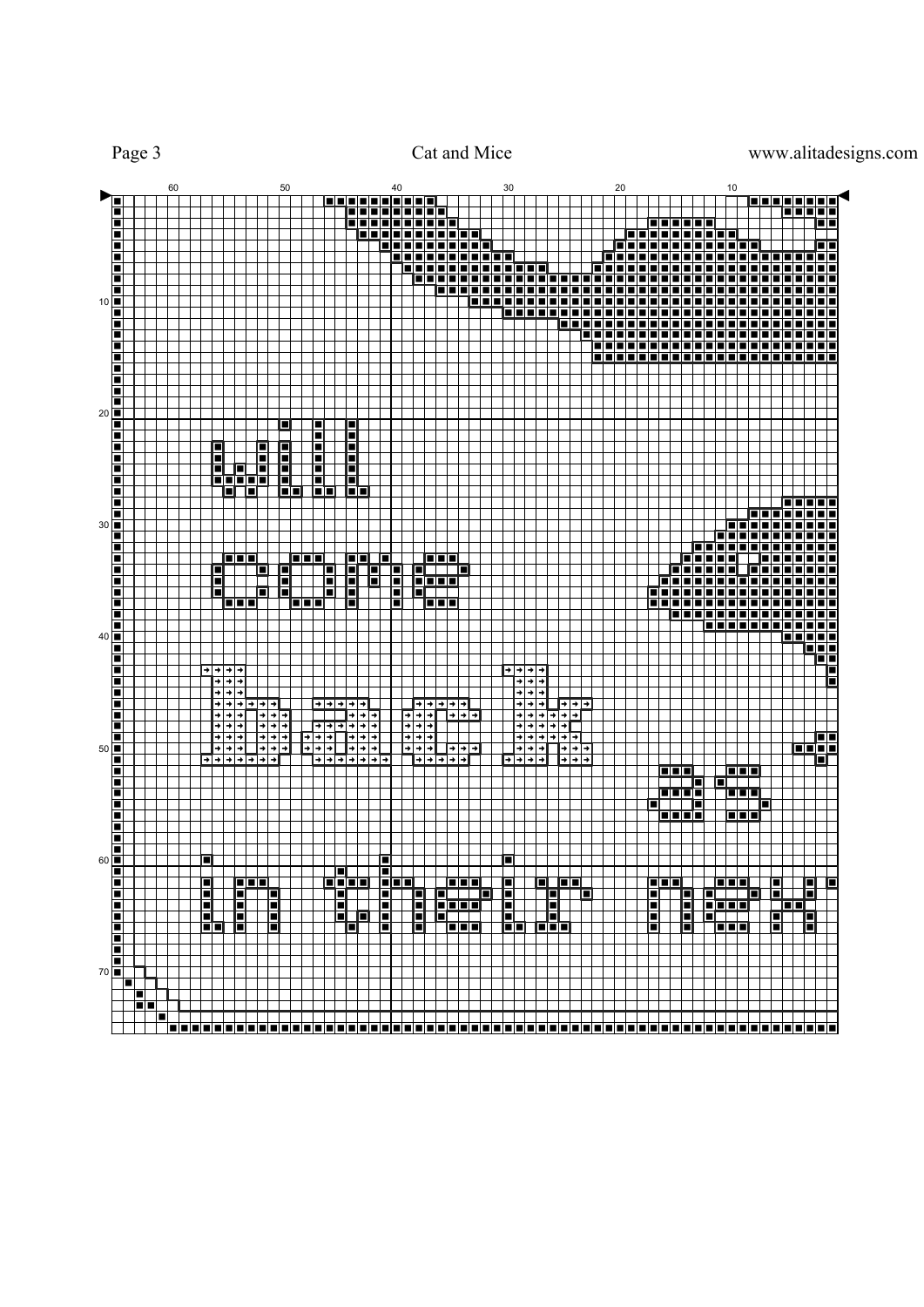Cat and Mice

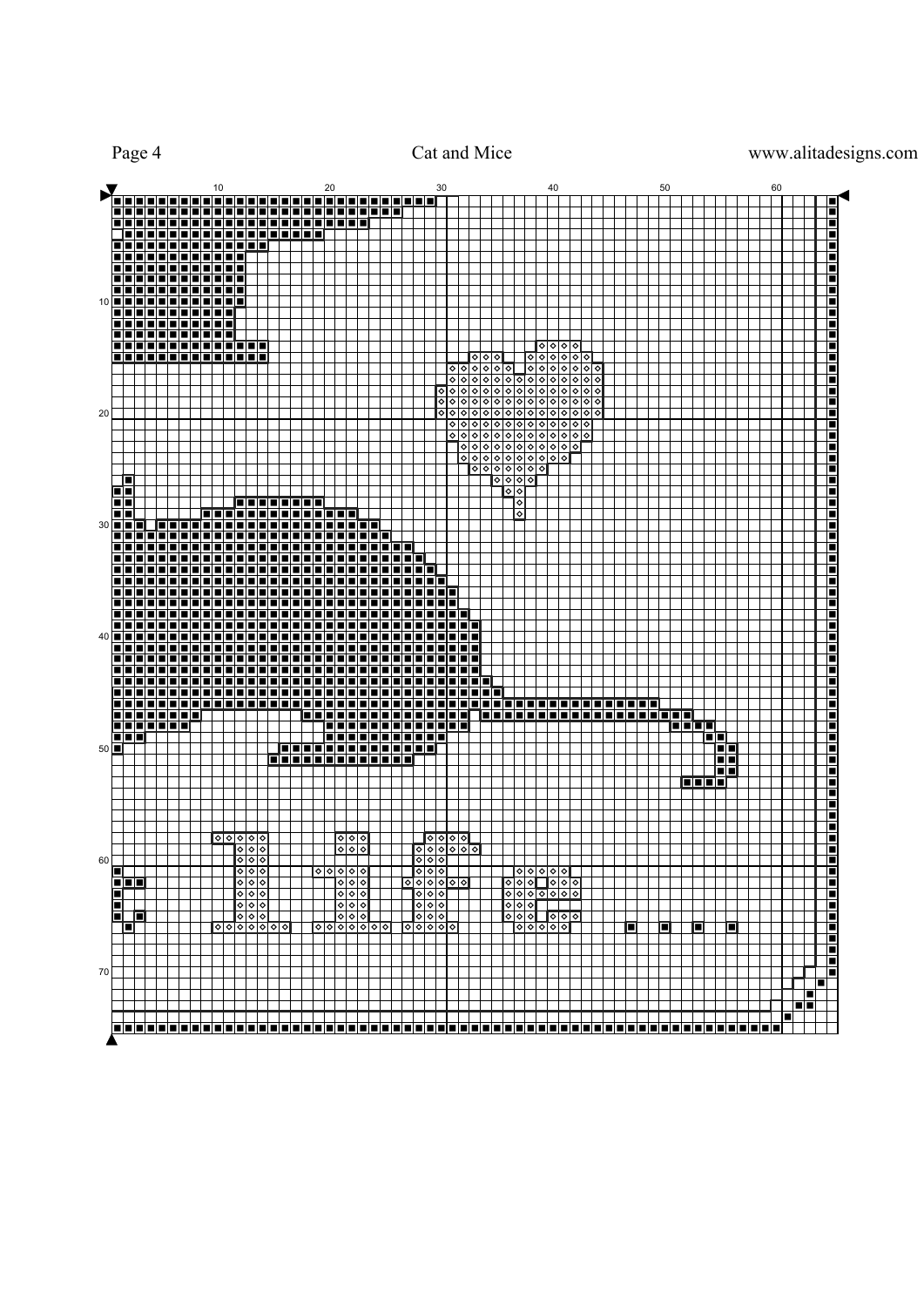Cat and Mice